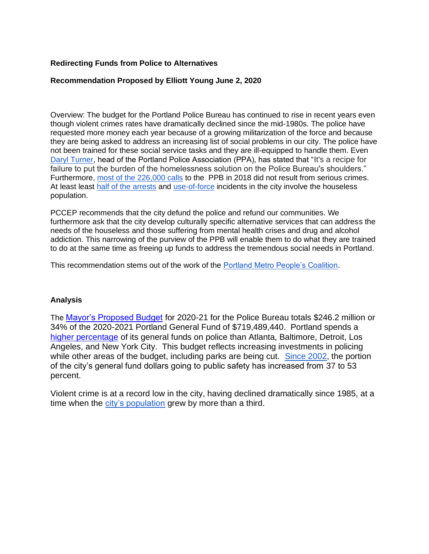## **Redirecting Funds from Police to Alternatives**

## **Recommendation Proposed by Elliott Young June 2, 2020**

Overview: The budget for the Portland Police Bureau has continued to rise in recent years even though violent crimes rates have dramatically declined since the mid-1980s. The police have requested more money each year because of a growing militarization of the force and because they are being asked to address an increasing list of social problems in our city. The police have not been trained for these social service tasks and they are ill-equipped to handle them. Even [Daryl Turner,](https://www.oregonlive.com/portland/2018/07/portland_police_union_leader_s.html) head of the Portland Police Association (PPA), has stated that "It's a recipe for failure to put the burden of the homelessness solution on the Police Bureau's shoulders." Furthermore, [most of the 226,000 calls](https://www.wweek.com/news/city/2019/11/27/he-city-of-portland-wants-to-change-the-way-it-responds-to-911-calls-public-safety-unions-are-hopping-mad/) to the PPB in 2018 did not result from serious crimes. At least least [half of the arrests](https://www.oregonlive.com/portland/2018/07/portland_mayor_ted_wheeler.html#:~:text=Half%20the%20arrests%20in%20Portland%20last%20year%20were%20of%20homeless,says%20that%E2%80%99s%20a%20problem&text=But%20last%20year%2C%20one%20in,The%20Oregonian%2FOregonLive%20has%20found.) and [use-of-force](https://www.portlandoregon.gov/police/article/695167) incidents in the city involve the houseless population.

PCCEP recommends that the city defund the police and refund our communities. We furthermore ask that the city develop culturally specific alternative services that can address the needs of the houseless and those suffering from mental health crises and drug and alcohol addiction. This narrowing of the purview of the PPB will enable them to do what they are trained to do at the same time as freeing up funds to address the tremendous social needs in Portland.

This recommendation stems out of the work of the [Portland Metro People's Coalition.](https://www.portlandpeoplescoalition.org/)

## **Analysis**

The [Mayor's Proposed Budget](https://www.portlandoregon.gov/cbo/article/760527) for 2020-21 for the Police Bureau totals \$246.2 million or 34% of the 2020-2021 Portland General Fund of \$719,489,440. Portland spends a [higher percentage](https://populardemocracy.org/news/publications/freedom-thrive-reimagining-safety-security-our-communities?fbclid=IwAR1qJx2J_A8fBoigjdlgBQo4kk5gGqDERZmYO9MtW0xOcgBK71H6g05M3b8) of its general funds on police than Atlanta, Baltimore, Detroit, Los Angeles, and New York City. This budget reflects increasing investments in policing while other areas of the budget, including parks are being cut. [Since 2002,](https://www.portlandoregon.gov/omf/article/336104) the portion of the city's general fund dollars going to public safety has increased from 37 to 53 percent.

Violent crime is at a record low in the city, having declined dramatically since 1985, at a time when the [city's population](https://www.pdx.edu/prc/sites/www.pdx.edu.prc/files/00%20rpt.pdf) grew by more than a third.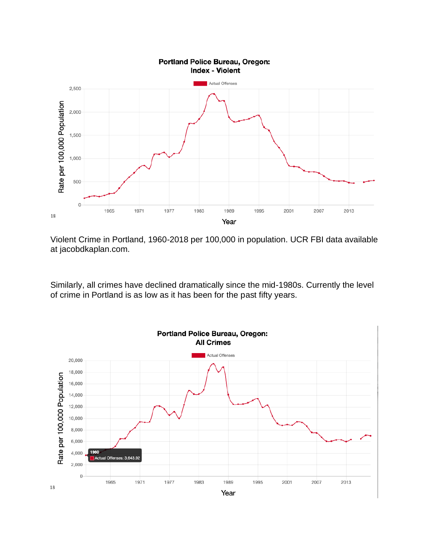

#### Portland Police Bureau, Oregon: **Index - Violent**

Violent Crime in Portland, 1960-2018 per 100,000 in population. UCR FBI data available at jacobdkaplan.com.

Similarly, all crimes have declined dramatically since the mid-1980s. Currently the level of crime in Portland is as low as it has been for the past fifty years.

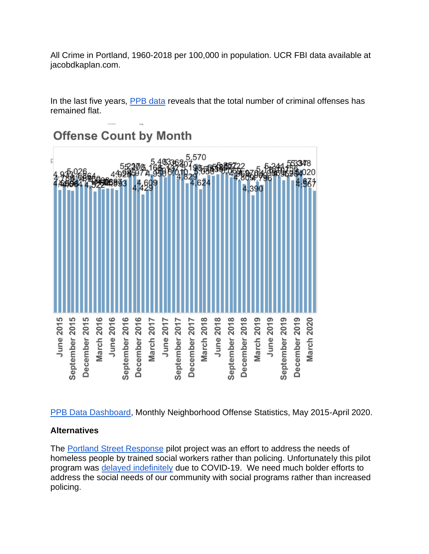All Crime in Portland, 1960-2018 per 100,000 in population. UCR FBI data available at jacobdkaplan.com.

In the last five years, [PPB data](https://www.portlandoregon.gov/police/71978) reveals that the total number of criminal offenses has remained flat.

# **Offense Count by Month**



[PPB Data Dashboard,](https://www.portlandoregon.gov/police/71978) Monthly Neighborhood Offense Statistics, May 2015-April 2020.

# **Alternatives**

The [Portland Street Response](https://www.oregonlive.com/news/2019/11/portland-street-response-homeless-first-responders-to-start-in-2020-after-council-oks-proposal.html) pilot project was an effort to address the needs of homeless people by trained social workers rather than policing. Unfortunately this pilot program was [delayed indefinitely](https://www.oregonlive.com/portland/2020/05/portlands-homeless-first-responder-pilot-delayed-indefinitely-by-coronavirus.html) due to COVID-19. We need much bolder efforts to address the social needs of our community with social programs rather than increased policing.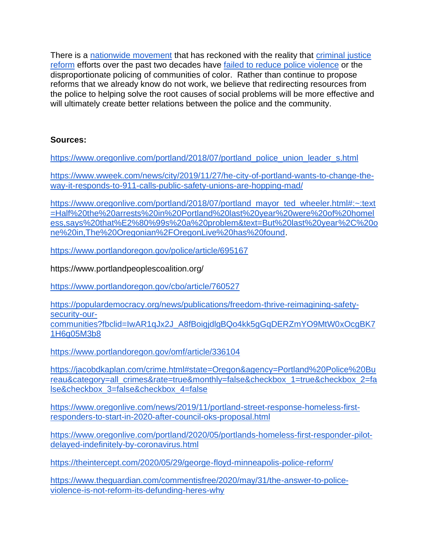There is a [nationwide movement](https://theintercept.com/2020/05/29/george-floyd-minneapolis-police-reform/) that has reckoned with the reality that [criminal justice](https://www.theguardian.com/commentisfree/2020/may/31/the-answer-to-police-violence-is-not-reform-its-defunding-heres-why)  [reform](https://www.theguardian.com/commentisfree/2020/may/31/the-answer-to-police-violence-is-not-reform-its-defunding-heres-why) efforts over the past two decades have [failed to reduce police violence](https://nyti.ms/2XQedDQ) or the disproportionate policing of communities of color. Rather than continue to propose reforms that we already know do not work, we believe that redirecting resources from the police to helping solve the root causes of social problems will be more effective and will ultimately create better relations between the police and the community.

# **Sources:**

[https://www.oregonlive.com/portland/2018/07/portland\\_police\\_union\\_leader\\_s.html](https://www.oregonlive.com/portland/2018/07/portland_police_union_leader_s.html)

[https://www.wweek.com/news/city/2019/11/27/he-city-of-portland-wants-to-change-the](https://www.wweek.com/news/city/2019/11/27/he-city-of-portland-wants-to-change-the-way-it-responds-to-911-calls-public-safety-unions-are-hopping-mad/)[way-it-responds-to-911-calls-public-safety-unions-are-hopping-mad/](https://www.wweek.com/news/city/2019/11/27/he-city-of-portland-wants-to-change-the-way-it-responds-to-911-calls-public-safety-unions-are-hopping-mad/)

[https://www.oregonlive.com/portland/2018/07/portland\\_mayor\\_ted\\_wheeler.html#:~:text](https://www.oregonlive.com/portland/2018/07/portland_mayor_ted_wheeler.html#:~:text=Half%20the%20arrests%20in%20Portland%20last%20year%20were%20of%20homeless,says%20that%E2%80%99s%20a%20problem&text=But%20last%20year%2C%20one%20in,The%20Oregonian%2FOregonLive%20has%20found) [=Half%20the%20arrests%20in%20Portland%20last%20year%20were%20of%20homel](https://www.oregonlive.com/portland/2018/07/portland_mayor_ted_wheeler.html#:~:text=Half%20the%20arrests%20in%20Portland%20last%20year%20were%20of%20homeless,says%20that%E2%80%99s%20a%20problem&text=But%20last%20year%2C%20one%20in,The%20Oregonian%2FOregonLive%20has%20found) [ess,says%20that%E2%80%99s%20a%20problem&text=But%20last%20year%2C%20o](https://www.oregonlive.com/portland/2018/07/portland_mayor_ted_wheeler.html#:~:text=Half%20the%20arrests%20in%20Portland%20last%20year%20were%20of%20homeless,says%20that%E2%80%99s%20a%20problem&text=But%20last%20year%2C%20one%20in,The%20Oregonian%2FOregonLive%20has%20found) [ne%20in,The%20Oregonian%2FOregonLive%20has%20found.](https://www.oregonlive.com/portland/2018/07/portland_mayor_ted_wheeler.html#:~:text=Half%20the%20arrests%20in%20Portland%20last%20year%20were%20of%20homeless,says%20that%E2%80%99s%20a%20problem&text=But%20last%20year%2C%20one%20in,The%20Oregonian%2FOregonLive%20has%20found)

<https://www.portlandoregon.gov/police/article/695167>

https://www.portlandpeoplescoalition.org/

<https://www.portlandoregon.gov/cbo/article/760527>

[https://populardemocracy.org/news/publications/freedom-thrive-reimagining-safety](https://populardemocracy.org/news/publications/freedom-thrive-reimagining-safety-security-our-communities?fbclid=IwAR1qJx2J_A8fBoigjdlgBQo4kk5gGqDERZmYO9MtW0xOcgBK71H6g05M3b8)[security-our](https://populardemocracy.org/news/publications/freedom-thrive-reimagining-safety-security-our-communities?fbclid=IwAR1qJx2J_A8fBoigjdlgBQo4kk5gGqDERZmYO9MtW0xOcgBK71H6g05M3b8)[communities?fbclid=IwAR1qJx2J\\_A8fBoigjdlgBQo4kk5gGqDERZmYO9MtW0xOcgBK7](https://populardemocracy.org/news/publications/freedom-thrive-reimagining-safety-security-our-communities?fbclid=IwAR1qJx2J_A8fBoigjdlgBQo4kk5gGqDERZmYO9MtW0xOcgBK71H6g05M3b8) [1H6g05M3b8](https://populardemocracy.org/news/publications/freedom-thrive-reimagining-safety-security-our-communities?fbclid=IwAR1qJx2J_A8fBoigjdlgBQo4kk5gGqDERZmYO9MtW0xOcgBK71H6g05M3b8)

<https://www.portlandoregon.gov/omf/article/336104>

[https://jacobdkaplan.com/crime.html#state=Oregon&agency=Portland%20Police%20Bu](https://jacobdkaplan.com/crime.html#state=Oregon&agency=Portland%20Police%20Bureau&category=all_crimes&rate=true&monthly=false&checkbox_1=true&checkbox_2=false&checkbox_3=false&checkbox_4=false) [reau&category=all\\_crimes&rate=true&monthly=false&checkbox\\_1=true&checkbox\\_2=fa](https://jacobdkaplan.com/crime.html#state=Oregon&agency=Portland%20Police%20Bureau&category=all_crimes&rate=true&monthly=false&checkbox_1=true&checkbox_2=false&checkbox_3=false&checkbox_4=false) [lse&checkbox\\_3=false&checkbox\\_4=false](https://jacobdkaplan.com/crime.html#state=Oregon&agency=Portland%20Police%20Bureau&category=all_crimes&rate=true&monthly=false&checkbox_1=true&checkbox_2=false&checkbox_3=false&checkbox_4=false)

[https://www.oregonlive.com/news/2019/11/portland-street-response-homeless-first](https://www.oregonlive.com/news/2019/11/portland-street-response-homeless-first-responders-to-start-in-2020-after-council-oks-proposal.html)[responders-to-start-in-2020-after-council-oks-proposal.html](https://www.oregonlive.com/news/2019/11/portland-street-response-homeless-first-responders-to-start-in-2020-after-council-oks-proposal.html)

[https://www.oregonlive.com/portland/2020/05/portlands-homeless-first-responder-pilot](https://www.oregonlive.com/portland/2020/05/portlands-homeless-first-responder-pilot-delayed-indefinitely-by-coronavirus.html)[delayed-indefinitely-by-coronavirus.html](https://www.oregonlive.com/portland/2020/05/portlands-homeless-first-responder-pilot-delayed-indefinitely-by-coronavirus.html)

<https://theintercept.com/2020/05/29/george-floyd-minneapolis-police-reform/>

[https://www.theguardian.com/commentisfree/2020/may/31/the-answer-to-police](https://www.theguardian.com/commentisfree/2020/may/31/the-answer-to-police-violence-is-not-reform-its-defunding-heres-why)[violence-is-not-reform-its-defunding-heres-why](https://www.theguardian.com/commentisfree/2020/may/31/the-answer-to-police-violence-is-not-reform-its-defunding-heres-why)